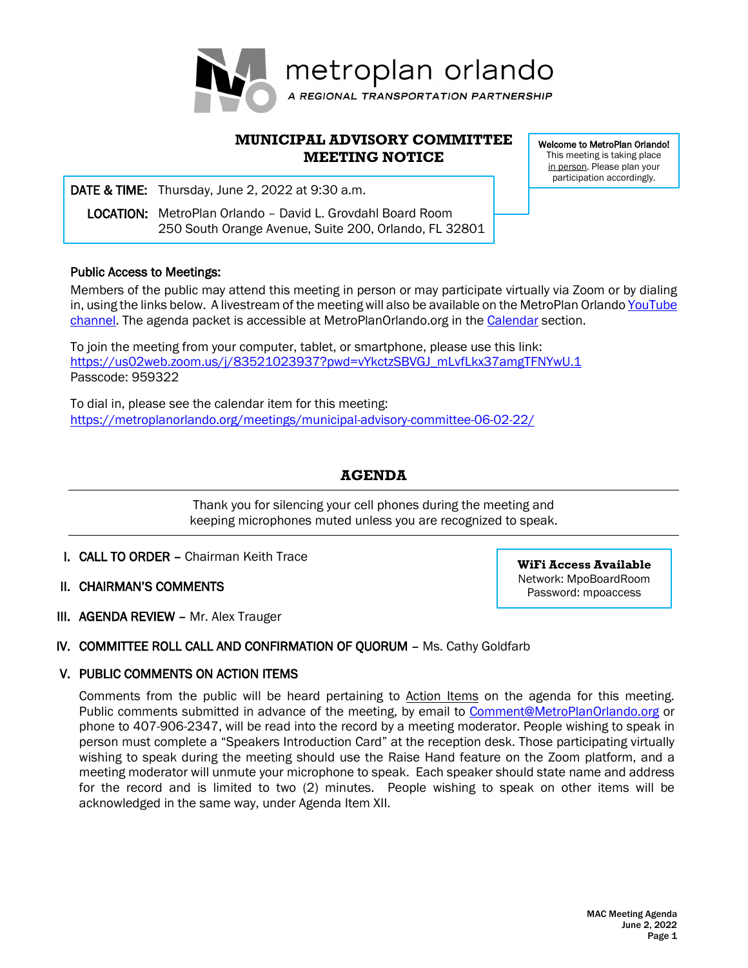

### **MUNICIPAL ADVISORY COMMITTEE MEETING NOTICE**

i DATE & TIME: Thursday, June 2, 2022 at 9:30 a.m.

 LOCATION: MetroPlan Orlando – David L. Grovdahl Board Room 250 South Orange Avenue, Suite 200, Orlando, FL 32801

### Public Access to Meetings:

Members of the public may attend this meeting in person or may participate virtually via Zoom or by dialing in, using the links below. A livestream of the meeting will also be available on the MetroPlan Orlando YouTube [channel.](https://www.youtube.com/channel/UCpvVb2j0vgSEwJf0iaULFzg) The agenda packet is accessible at MetroPlanOrlando.org in the [Calendar](https://metroplanorlando.org/calendar/list/) section.

To join the meeting from your computer, tablet, or smartphone, please use this link: [https://us02web.zoom.us/j/83521023937?pwd=vYkctzSBVGJ\\_mLvfLkx37amgTFNYwU.1](https://us02web.zoom.us/j/83521023937?pwd=vYkctzSBVGJ_mLvfLkx37amgTFNYwU.1) Passcode: 959322

To dial in, please see the calendar item for this meeting: <https://metroplanorlando.org/meetings/municipal-advisory-committee-06-02-22/>

# **AGENDA**

Thank you for silencing your cell phones during the meeting and keeping microphones muted unless you are recognized to speak.

- I. CALL TO ORDER Chairman Keith Trace
- II. CHAIRMAN'S COMMENTS
- III. AGENDA REVIEW Mr. Alex Trauger

## IV. COMMITTEE ROLL CALL AND CONFIRMATION OF QUORUM – Ms. Cathy Goldfarb

### V. PUBLIC COMMENTS ON ACTION ITEMS

Comments from the public will be heard pertaining to Action Items on the agenda for this meeting. Public comments submitted in advance of the meeting, by email to [Comment@MetroPlanOrlando.org](mailto:Comment@MetroPlanOrlando.org) or phone to 407-906-2347, will be read into the record by a meeting moderator. People wishing to speak in person must complete a "Speakers Introduction Card" at the reception desk. Those participating virtually wishing to speak during the meeting should use the Raise Hand feature on the Zoom platform, and a meeting moderator will unmute your microphone to speak. Each speaker should state name and address for the record and is limited to two (2) minutes. People wishing to speak on other items will be acknowledged in the same way, under Agenda Item XII.

**WiFi Access Available** Network: MpoBoardRoom Password: mpoaccess

Welcome to MetroPlan Orlando! This meeting is taking place in person. Please plan your participation accordingly.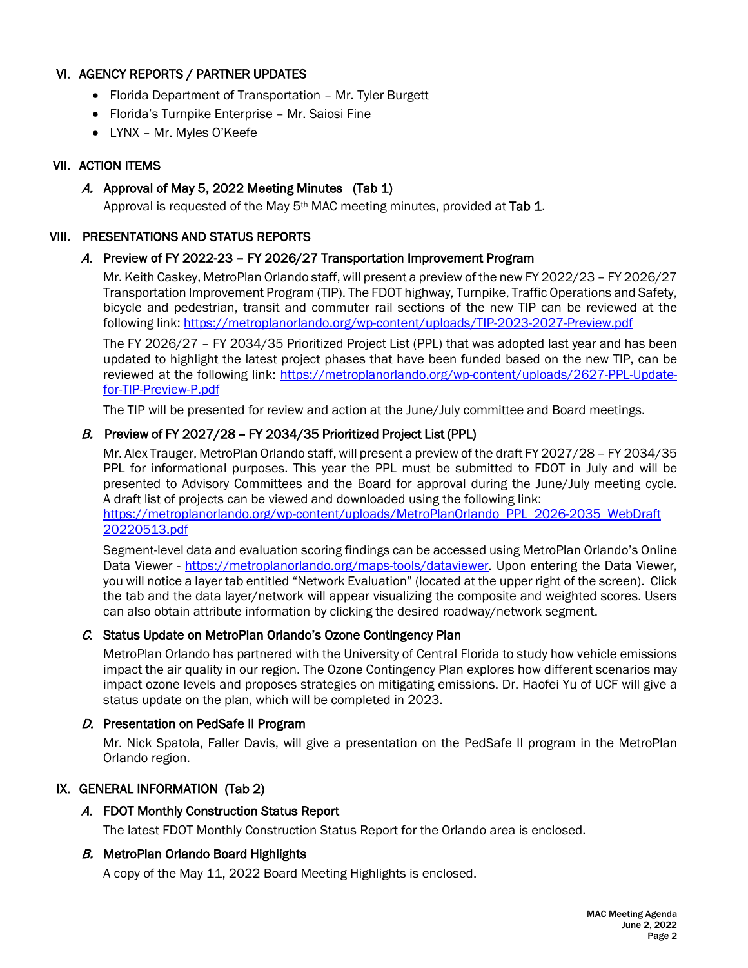### VI. AGENCY REPORTS / PARTNER UPDATES

- Florida Department of Transportation Mr. Tyler Burgett
- Florida's Turnpike Enterprise Mr. Saiosi Fine
- LYNX Mr. Myles O'Keefe

## VII. ACTION ITEMS

## A. Approval of May 5, 2022 Meeting Minutes (Tab 1)

Approval is requested of the May  $5<sup>th</sup>$  MAC meeting minutes, provided at Tab 1.

### VIII. PRESENTATIONS AND STATUS REPORTS

## A. Preview of FY 2022-23 – FY 2026/27 Transportation Improvement Program

Mr. Keith Caskey, MetroPlan Orlando staff, will present a preview of the new FY 2022/23 – FY 2026/27 Transportation Improvement Program (TIP). The FDOT highway, Turnpike, Traffic Operations and Safety, bicycle and pedestrian, transit and commuter rail sections of the new TIP can be reviewed at the following link:<https://metroplanorlando.org/wp-content/uploads/TIP-2023-2027-Preview.pdf>

The FY 2026/27 – FY 2034/35 Prioritized Project List (PPL) that was adopted last year and has been updated to highlight the latest project phases that have been funded based on the new TIP, can be reviewed at the following link: [https://metroplanorlando.org/wp-content/uploads/2627-PPL-Update](https://metroplanorlando.org/wp-content/uploads/2627-PPL-Update-for-TIP-Preview-P.pdf)[for-TIP-Preview-P.pdf](https://metroplanorlando.org/wp-content/uploads/2627-PPL-Update-for-TIP-Preview-P.pdf)

The TIP will be presented for review and action at the June/July committee and Board meetings.

## B. Preview of FY 2027/28 - FY 2034/35 Prioritized Project List (PPL)

Mr. Alex Trauger, MetroPlan Orlando staff, will present a preview of the draft FY 2027/28 – FY 2034/35 PPL for informational purposes. This year the PPL must be submitted to FDOT in July and will be presented to Advisory Committees and the Board for approval during the June/July meeting cycle. A draft list of projects can be viewed and downloaded using the following link: [https://metroplanorlando.org/wp-content/uploads/MetroPlanOrlando\\_PPL\\_2026-2035\\_WebDraft](https://metroplanorlando.org/wp-content/uploads/MetroPlanOrlando_PPL_2026-2035_WebDraft%2020220513.pdf)  [20220513.pdf](https://metroplanorlando.org/wp-content/uploads/MetroPlanOrlando_PPL_2026-2035_WebDraft%2020220513.pdf)

Segment-level data and evaluation scoring findings can be accessed using MetroPlan Orlando's Online Data Viewer - [https://metroplanorlando.org/maps-tools/dataviewer.](https://metroplanorlando.org/maps-tools/dataviewer) Upon entering the Data Viewer, you will notice a layer tab entitled "Network Evaluation" (located at the upper right of the screen). Click the tab and the data layer/network will appear visualizing the composite and weighted scores. Users can also obtain attribute information by clicking the desired roadway/network segment.

### C. Status Update on MetroPlan Orlando's Ozone Contingency Plan

MetroPlan Orlando has partnered with the University of Central Florida to study how vehicle emissions impact the air quality in our region. The Ozone Contingency Plan explores how different scenarios may impact ozone levels and proposes strategies on mitigating emissions. Dr. Haofei Yu of UCF will give a status update on the plan, which will be completed in 2023.

### D. Presentation on PedSafe II Program

Mr. Nick Spatola, Faller Davis, will give a presentation on the PedSafe II program in the MetroPlan Orlando region.

### IX. GENERAL INFORMATION (Tab 2)

### A. FDOT Monthly Construction Status Report

The latest FDOT Monthly Construction Status Report for the Orlando area is enclosed.

## B. MetroPlan Orlando Board Highlights

A copy of the May 11, 2022 Board Meeting Highlights is enclosed.